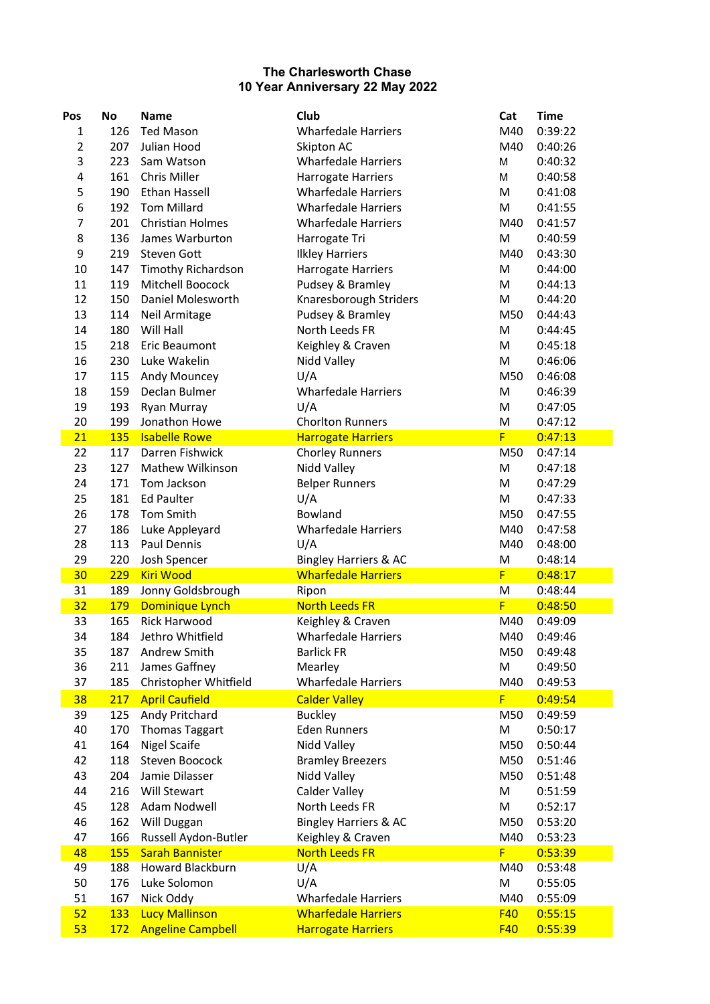## **The Charlesworth Chase 10 Year Anniversary 22 May 2022**

| Pos              | <b>No</b>  | <b>Name</b>               | Club                             | Cat        | <b>Time</b> |
|------------------|------------|---------------------------|----------------------------------|------------|-------------|
| $\mathbf{1}$     | 126        | <b>Ted Mason</b>          | <b>Wharfedale Harriers</b>       | M40        | 0:39:22     |
| 2                | 207        | Julian Hood               | Skipton AC                       | M40        | 0:40:26     |
| 3                | 223        | Sam Watson                | <b>Wharfedale Harriers</b>       | M          | 0:40:32     |
| 4                | 161        | Chris Miller              | Harrogate Harriers               | M          | 0:40:58     |
| 5                | 190        | Ethan Hassell             | <b>Wharfedale Harriers</b>       | M          | 0:41:08     |
| $\boldsymbol{6}$ | 192        | <b>Tom Millard</b>        | <b>Wharfedale Harriers</b>       | M          | 0:41:55     |
| $\overline{7}$   | 201        | Christian Holmes          | <b>Wharfedale Harriers</b>       | M40        | 0:41:57     |
| 8                | 136        | James Warburton           | Harrogate Tri                    | M          | 0:40:59     |
| 9                | 219        | Steven Gott               | <b>Ilkley Harriers</b>           | M40        | 0:43:30     |
| 10               | 147        | <b>Timothy Richardson</b> | Harrogate Harriers               | M          | 0:44:00     |
| 11               | 119        | Mitchell Boocock          | Pudsey & Bramley                 | M          | 0:44:13     |
| 12               | 150        | Daniel Molesworth         | Knaresborough Striders           | M          | 0:44:20     |
| 13               | 114        | Neil Armitage             | Pudsey & Bramley                 | M50        | 0:44:43     |
| 14               | 180        | Will Hall                 | North Leeds FR                   | M          | 0:44:45     |
| 15               | 218        | Eric Beaumont             | Keighley & Craven                | M          | 0:45:18     |
| 16               | 230        | Luke Wakelin              | Nidd Valley                      | M          | 0:46:06     |
| 17               | 115        | Andy Mouncey              | U/A                              | M50        | 0:46:08     |
| 18               | 159        | Declan Bulmer             | <b>Wharfedale Harriers</b>       | M          | 0:46:39     |
| 19               | 193        | Ryan Murray               | U/A                              | M          | 0:47:05     |
| 20               | 199        | Jonathon Howe             | <b>Chorlton Runners</b>          | M          | 0:47:12     |
| 21               | <b>135</b> | <b>Isabelle Rowe</b>      | <b>Harrogate Harriers</b>        | F          | 0:47:13     |
| 22               | 117        | Darren Fishwick           | <b>Chorley Runners</b>           | M50        | 0:47:14     |
| 23               | 127        | Mathew Wilkinson          | Nidd Valley                      | M          | 0:47:18     |
| 24               | 171        | Tom Jackson               | <b>Belper Runners</b>            | M          | 0:47:29     |
| 25               | 181        | <b>Ed Paulter</b>         | U/A                              | M          | 0:47:33     |
| 26               | 178        | Tom Smith                 | Bowland                          | M50        | 0:47:55     |
| 27               | 186        | Luke Appleyard            | <b>Wharfedale Harriers</b>       | M40        | 0:47:58     |
| 28               | 113        | Paul Dennis               | U/A                              | M40        | 0:48:00     |
| 29               | 220        | Josh Spencer              | <b>Bingley Harriers &amp; AC</b> | M          | 0:48:14     |
| 30               | 229        | <b>Kiri Wood</b>          | <b>Wharfedale Harriers</b>       | F          | 0:48:17     |
| 31               | 189        | Jonny Goldsbrough         | Ripon                            | M          | 0:48:44     |
| 32               | <b>179</b> | Dominique Lynch           | <b>North Leeds FR</b>            | F          | 0:48:50     |
| 33               | 165        | <b>Rick Harwood</b>       | Keighley & Craven                | M40        | 0:49:09     |
| 34               | 184        | Jethro Whitfield          | <b>Wharfedale Harriers</b>       | M40        | 0:49:46     |
| 35               | 187        | Andrew Smith              | <b>Barlick FR</b>                | M50        | 0:49:48     |
| 36               | 211        | James Gaffney             | Mearley                          | M          | 0:49:50     |
| 37               | 185        | Christopher Whitfield     | <b>Wharfedale Harriers</b>       | M40        | 0:49:53     |
| 38               | 217        | <b>April Caufield</b>     | <b>Calder Valley</b>             | F          | 0:49:54     |
| 39               | 125        | Andy Pritchard            | <b>Buckley</b>                   | M50        | 0:49:59     |
| 40               | 170        | <b>Thomas Taggart</b>     | <b>Eden Runners</b>              | M          | 0:50:17     |
| 41               | 164        | Nigel Scaife              | Nidd Valley                      | M50        | 0:50:44     |
| 42               | 118        | Steven Boocock            | <b>Bramley Breezers</b>          | M50        | 0:51:46     |
| 43               | 204        | Jamie Dilasser            | Nidd Valley                      | M50        | 0:51:48     |
| 44               | 216        | Will Stewart              | Calder Valley                    | M          | 0:51:59     |
| 45               | 128        | Adam Nodwell              | North Leeds FR                   | M          | 0:52:17     |
| 46               | 162        | Will Duggan               | <b>Bingley Harriers &amp; AC</b> | M50        | 0:53:20     |
| 47               | 166        | Russell Aydon-Butler      | Keighley & Craven                | M40        | 0:53:23     |
| 48               | <b>155</b> | <b>Sarah Bannister</b>    | <b>North Leeds FR</b>            | F          | 0:53:39     |
| 49               | 188        | Howard Blackburn          | U/A                              | M40        | 0:53:48     |
| 50               | 176        | Luke Solomon              | U/A                              | M          | 0:55:05     |
| 51               | 167        | Nick Oddy                 | <b>Wharfedale Harriers</b>       | M40        | 0:55:09     |
| 52               | 133        | <b>Lucy Mallinson</b>     | <b>Wharfedale Harriers</b>       | <b>F40</b> | 0:55:15     |
| 53               | 172        | <b>Angeline Campbell</b>  | <b>Harrogate Harriers</b>        | <b>F40</b> | 0:55:39     |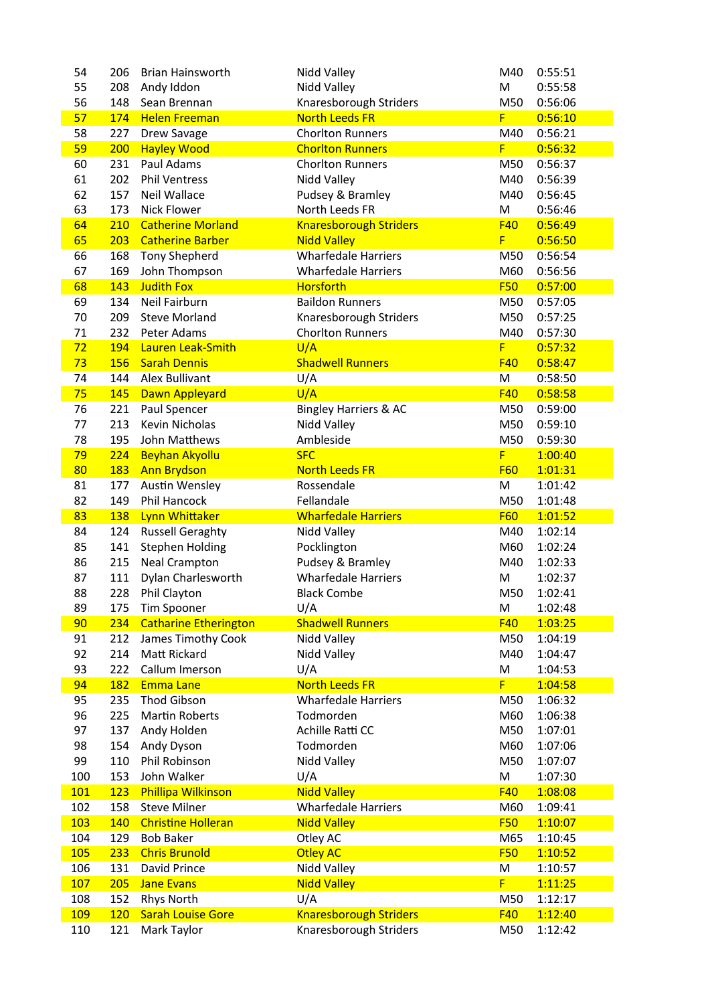| 54         | 206        | <b>Brian Hainsworth</b>      | Nidd Valley                      | M40        | 0:55:51 |
|------------|------------|------------------------------|----------------------------------|------------|---------|
| 55         | 208        | Andy Iddon                   | Nidd Valley                      | M          | 0:55:58 |
| 56         | 148        | Sean Brennan                 | Knaresborough Striders           | M50        | 0:56:06 |
| 57         | 174        | <b>Helen Freeman</b>         | <b>North Leeds FR</b>            | F          | 0:56:10 |
| 58         | 227        | Drew Savage                  | <b>Chorlton Runners</b>          | M40        | 0:56:21 |
| 59         | 200        | <b>Hayley Wood</b>           | <b>Chorlton Runners</b>          | F          | 0:56:32 |
| 60         | 231        | Paul Adams                   | <b>Chorlton Runners</b>          | M50        | 0:56:37 |
| 61         | 202        | <b>Phil Ventress</b>         | Nidd Valley                      | M40        | 0:56:39 |
| 62         | 157        | Neil Wallace                 | Pudsey & Bramley                 | M40        | 0:56:45 |
| 63         | 173        | <b>Nick Flower</b>           | North Leeds FR                   | M          | 0:56:46 |
| 64         | 210        | <b>Catherine Morland</b>     | <b>Knaresborough Striders</b>    | F40        | 0:56:49 |
| 65         | 203        | <b>Catherine Barber</b>      | <b>Nidd Valley</b>               | F          | 0:56:50 |
| 66         | 168        | <b>Tony Shepherd</b>         | <b>Wharfedale Harriers</b>       | M50        | 0:56:54 |
| 67         | 169        | John Thompson                | <b>Wharfedale Harriers</b>       | M60        | 0:56:56 |
| 68         | 143        | <b>Judith Fox</b>            | <b>Horsforth</b>                 | <b>F50</b> | 0:57:00 |
| 69         | 134        | Neil Fairburn                | <b>Baildon Runners</b>           | M50        | 0:57:05 |
| 70         | 209        | <b>Steve Morland</b>         | Knaresborough Striders           | M50        | 0:57:25 |
| 71         | 232        | Peter Adams                  | <b>Chorlton Runners</b>          | M40        | 0:57:30 |
| 72         | 194        | Lauren Leak-Smith            | U/A                              | F          | 0:57:32 |
| 73         | 156        | <b>Sarah Dennis</b>          | <b>Shadwell Runners</b>          | F40        | 0:58:47 |
|            |            | Alex Bullivant               |                                  |            |         |
| 74         | 144        |                              | U/A                              | M          | 0:58:50 |
| 75         | 145        | <b>Dawn Appleyard</b>        | U/A                              | <b>F40</b> | 0:58:58 |
| 76         | 221        | Paul Spencer                 | <b>Bingley Harriers &amp; AC</b> | M50        | 0:59:00 |
| 77         | 213        | <b>Kevin Nicholas</b>        | Nidd Valley                      | M50        | 0:59:10 |
| 78         | 195        | John Matthews                | Ambleside                        | M50        | 0:59:30 |
| 79         | 224        | <b>Beyhan Akyollu</b>        | <b>SFC</b>                       | F          | 1:00:40 |
| 80         | 183        | <b>Ann Brydson</b>           | <b>North Leeds FR</b>            | <b>F60</b> | 1:01:31 |
| 81         | 177        | <b>Austin Wensley</b>        | Rossendale                       | M          | 1:01:42 |
| 82         | 149        | Phil Hancock                 | Fellandale                       | M50        | 1:01:48 |
| 83         | 138        | Lynn Whittaker               | <b>Wharfedale Harriers</b>       | <b>F60</b> | 1:01:52 |
| 84         | 124        | <b>Russell Geraghty</b>      | Nidd Valley                      | M40        | 1:02:14 |
| 85         | 141        | <b>Stephen Holding</b>       | Pocklington                      | M60        | 1:02:24 |
| 86         | 215        | <b>Neal Crampton</b>         | Pudsey & Bramley                 | M40        | 1:02:33 |
| 87         | 111        | Dylan Charlesworth           | <b>Wharfedale Harriers</b>       | M          | 1:02:37 |
| 88         | 228        | Phil Clayton                 | <b>Black Combe</b>               | M50        | 1:02:41 |
| 89         | 175        | Tim Spooner                  | U/A                              | M          | 1:02:48 |
| 90         | 234        | <b>Catharine Etherington</b> | <b>Shadwell Runners</b>          | <b>F40</b> | 1:03:25 |
| 91         | 212        | James Timothy Cook           | Nidd Valley                      | M50        | 1:04:19 |
| 92         | 214        | Matt Rickard                 | Nidd Valley                      | M40        | 1:04:47 |
| 93         | 222        | Callum Imerson               | U/A                              | M          | 1:04:53 |
| 94         | <b>182</b> | <b>Emma Lane</b>             | <b>North Leeds FR</b>            | F          | 1:04:58 |
| 95         | 235        | <b>Thod Gibson</b>           | <b>Wharfedale Harriers</b>       | M50        | 1:06:32 |
| 96         | 225        | <b>Martin Roberts</b>        | Todmorden                        | M60        | 1:06:38 |
| 97         | 137        | Andy Holden                  | Achille Ratti CC                 | M50        | 1:07:01 |
| 98         | 154        | Andy Dyson                   | Todmorden                        | M60        | 1:07:06 |
| 99         | 110        | Phil Robinson                | Nidd Valley                      | M50        | 1:07:07 |
| 100        | 153        | John Walker                  | U/A                              | M          | 1:07:30 |
| <b>101</b> | 123        | <b>Phillipa Wilkinson</b>    | <b>Nidd Valley</b>               | <b>F40</b> | 1:08:08 |
| 102        | 158        | <b>Steve Milner</b>          | <b>Wharfedale Harriers</b>       | M60        | 1:09:41 |
| 103        | 140        | <b>Christine Holleran</b>    | <b>Nidd Valley</b>               | <b>F50</b> | 1:10:07 |
| 104        | 129        | <b>Bob Baker</b>             | Otley AC                         | M65        | 1:10:45 |
| 105        | 233        | <b>Chris Brunold</b>         | <b>Otley AC</b>                  | <b>F50</b> | 1:10:52 |
| 106        | 131        | David Prince                 | Nidd Valley                      | M          | 1:10:57 |
| 107        | 205        | <b>Jane Evans</b>            | <b>Nidd Valley</b>               | F          | 1:11:25 |
| 108        | 152        | <b>Rhys North</b>            | U/A                              | M50        | 1:12:17 |
| 109        | <b>120</b> | <b>Sarah Louise Gore</b>     |                                  | <b>F40</b> | 1:12:40 |
|            |            |                              | <b>Knaresborough Striders</b>    |            |         |
| 110        | 121        | Mark Taylor                  | Knaresborough Striders           | M50        | 1:12:42 |